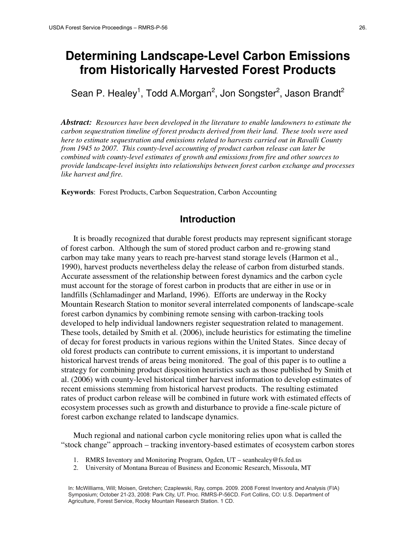# **Determining Landscape-Level Carbon Emissions from Historically Harvested Forest Products**

Sean P. Healey<sup>1</sup>, Todd A.Morgan<sup>2</sup>, Jon Songster<sup>2</sup>, Jason Brandt<sup>2</sup>

*Abstract: Resources have been developed in the literature to enable landowners to estimate the carbon sequestration timeline of forest products derived from their land. These tools were used here to estimate sequestration and emissions related to harvests carried out in Ravalli County from 1945 to 2007. This county-level accounting of product carbon release can later be combined with county-level estimates of growth and emissions from fire and other sources to provide landscape-level insights into relationships between forest carbon exchange and processes like harvest and fire.* 

**Keywords**: Forest Products, Carbon Sequestration, Carbon Accounting

## **Introduction**

It is broadly recognized that durable forest products may represent significant storage of forest carbon. Although the sum of stored product carbon and re-growing stand carbon may take many years to reach pre-harvest stand storage levels (Harmon et al., 1990), harvest products nevertheless delay the release of carbon from disturbed stands. Accurate assessment of the relationship between forest dynamics and the carbon cycle must account for the storage of forest carbon in products that are either in use or in landfills (Schlamadinger and Marland, 1996). Efforts are underway in the Rocky Mountain Research Station to monitor several interrelated components of landscape-scale forest carbon dynamics by combining remote sensing with carbon-tracking tools developed to help individual landowners register sequestration related to management. These tools, detailed by Smith et al. (2006), include heuristics for estimating the timeline of decay for forest products in various regions within the United States. Since decay of old forest products can contribute to current emissions, it is important to understand historical harvest trends of areas being monitored. The goal of this paper is to outline a strategy for combining product disposition heuristics such as those published by Smith et al. (2006) with county-level historical timber harvest information to develop estimates of recent emissions stemming from historical harvest products. The resulting estimated rates of product carbon release will be combined in future work with estimated effects of ecosystem processes such as growth and disturbance to provide a fine-scale picture of forest carbon exchange related to landscape dynamics.

Much regional and national carbon cycle monitoring relies upon what is called the "stock change" approach – tracking inventory-based estimates of ecosystem carbon stores

- 1. RMRS Inventory and Monitoring Program, Ogden, UT seanhealey@fs.fed.us
- 2. University of Montana Bureau of Business and Economic Research, Missoula, MT

 In: McWilliams, Will; Moisen, Gretchen; Czaplewski, Ray, comps. 2009. 2008 Forest Inventory and Analysis (FIA) Symposium; October 21-23, 2008: Park City, UT. Proc. RMRS-P-56CD. Fort Collins, CO: U.S. Department of Agriculture, Forest Service, Rocky Mountain Research Station. 1 CD.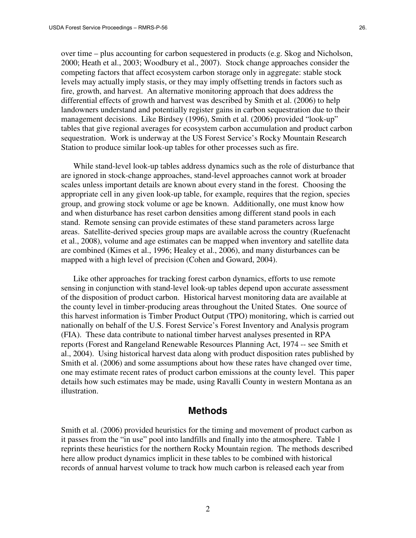over time – plus accounting for carbon sequestered in products (e.g. Skog and Nicholson, 2000; Heath et al., 2003; Woodbury et al., 2007). Stock change approaches consider the competing factors that affect ecosystem carbon storage only in aggregate: stable stock levels may actually imply stasis, or they may imply offsetting trends in factors such as fire, growth, and harvest. An alternative monitoring approach that does address the differential effects of growth and harvest was described by Smith et al. (2006) to help landowners understand and potentially register gains in carbon sequestration due to their management decisions. Like Birdsey (1996), Smith et al. (2006) provided "look-up" tables that give regional averages for ecosystem carbon accumulation and product carbon sequestration. Work is underway at the US Forest Service's Rocky Mountain Research Station to produce similar look-up tables for other processes such as fire.

While stand-level look-up tables address dynamics such as the role of disturbance that are ignored in stock-change approaches, stand-level approaches cannot work at broader scales unless important details are known about every stand in the forest. Choosing the appropriate cell in any given look-up table, for example, requires that the region, species group, and growing stock volume or age be known. Additionally, one must know how and when disturbance has reset carbon densities among different stand pools in each stand. Remote sensing can provide estimates of these stand parameters across large areas. Satellite-derived species group maps are available across the country (Ruefenacht et al., 2008), volume and age estimates can be mapped when inventory and satellite data are combined (Kimes et al., 1996; Healey et al., 2006), and many disturbances can be mapped with a high level of precision (Cohen and Goward, 2004).

Like other approaches for tracking forest carbon dynamics, efforts to use remote sensing in conjunction with stand-level look-up tables depend upon accurate assessment of the disposition of product carbon. Historical harvest monitoring data are available at the county level in timber-producing areas throughout the United States. One source of this harvest information is Timber Product Output (TPO) monitoring, which is carried out nationally on behalf of the U.S. Forest Service's Forest Inventory and Analysis program (FIA). These data contribute to national timber harvest analyses presented in RPA reports (Forest and Rangeland Renewable Resources Planning Act, 1974 -- see Smith et al., 2004). Using historical harvest data along with product disposition rates published by Smith et al. (2006) and some assumptions about how these rates have changed over time, one may estimate recent rates of product carbon emissions at the county level. This paper details how such estimates may be made, using Ravalli County in western Montana as an illustration.

# **Methods**

Smith et al. (2006) provided heuristics for the timing and movement of product carbon as it passes from the "in use" pool into landfills and finally into the atmosphere. Table 1 reprints these heuristics for the northern Rocky Mountain region. The methods described here allow product dynamics implicit in these tables to be combined with historical records of annual harvest volume to track how much carbon is released each year from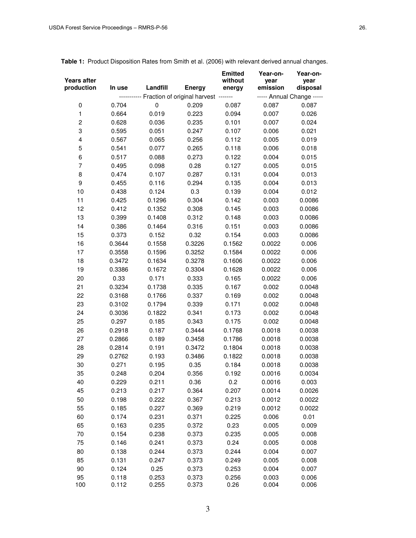| Years after<br>production | In use | Landfill<br><b>Energy</b> |                                              | <b>Emitted</b><br>without<br>energy | Year-on-<br>year<br>emission | Year-on-<br>year<br>disposal |  |  |
|---------------------------|--------|---------------------------|----------------------------------------------|-------------------------------------|------------------------------|------------------------------|--|--|
|                           |        |                           | ------- Fraction of original harvest ------- |                                     | ----- Annual Change -----    |                              |  |  |
| 0                         | 0.704  | $\pmb{0}$                 | 0.209                                        | 0.087                               | 0.087                        | 0.087                        |  |  |
| $\mathbf{1}$              | 0.664  | 0.019                     | 0.223                                        | 0.094                               | 0.007                        | 0.026                        |  |  |
| $\overline{c}$            | 0.628  | 0.036                     | 0.235                                        | 0.101                               | 0.007                        | 0.024                        |  |  |
| 3                         | 0.595  | 0.051                     | 0.247                                        | 0.107                               | 0.006                        | 0.021                        |  |  |
| $\overline{\mathbf{4}}$   | 0.567  | 0.065                     | 0.256                                        | 0.112                               | 0.005                        | 0.019                        |  |  |
| $\mathbf 5$               | 0.541  | 0.077                     | 0.265                                        | 0.118                               | 0.006                        | 0.018                        |  |  |
| 6                         | 0.517  | 0.088                     | 0.273                                        | 0.122                               | 0.004                        | 0.015                        |  |  |
| $\overline{7}$            | 0.495  | 0.098                     | 0.28                                         | 0.127                               | 0.005                        | 0.015                        |  |  |
| 8                         | 0.474  | 0.107                     | 0.287                                        | 0.131                               | 0.004                        | 0.013                        |  |  |
| 9                         | 0.455  | 0.116                     | 0.294                                        | 0.135                               | 0.004                        | 0.013                        |  |  |
| 10                        | 0.438  | 0.124                     | 0.3                                          | 0.139                               | 0.004                        | 0.012                        |  |  |
| 11                        | 0.425  | 0.1296                    | 0.304                                        | 0.142                               | 0.003                        | 0.0086                       |  |  |
| 12                        | 0.412  | 0.1352                    | 0.308                                        | 0.145                               | 0.003                        | 0.0086                       |  |  |
| 13                        | 0.399  | 0.1408                    | 0.312                                        | 0.148                               | 0.003                        | 0.0086                       |  |  |
| 14                        | 0.386  | 0.1464                    | 0.316                                        | 0.151                               | 0.003                        | 0.0086                       |  |  |
| 15                        | 0.373  | 0.152                     | 0.32                                         | 0.154                               | 0.003                        | 0.0086                       |  |  |
| 16                        | 0.3644 | 0.1558                    | 0.3226                                       | 0.1562                              | 0.0022                       | 0.006                        |  |  |
| 17                        | 0.3558 | 0.1596                    | 0.3252                                       | 0.1584                              | 0.0022                       | 0.006                        |  |  |
| 18                        | 0.3472 | 0.1634                    | 0.3278                                       | 0.1606                              | 0.0022                       | 0.006                        |  |  |
| 19                        | 0.3386 | 0.1672                    | 0.3304                                       | 0.1628                              | 0.0022                       | 0.006                        |  |  |
| 20                        | 0.33   | 0.171                     | 0.333                                        | 0.165                               | 0.0022                       | 0.006                        |  |  |
| 21                        | 0.3234 | 0.1738                    | 0.335                                        | 0.167                               | 0.002                        | 0.0048                       |  |  |
| 22                        | 0.3168 | 0.1766                    | 0.337                                        | 0.169                               | 0.002                        | 0.0048                       |  |  |
| 23                        | 0.3102 | 0.1794                    | 0.339                                        | 0.171                               | 0.002                        | 0.0048                       |  |  |
| 24                        | 0.3036 | 0.1822                    | 0.341                                        | 0.173                               | 0.002                        | 0.0048                       |  |  |
| 25                        | 0.297  | 0.185                     | 0.343                                        | 0.175                               | 0.002                        | 0.0048                       |  |  |
| 26                        | 0.2918 | 0.187                     | 0.3444                                       | 0.1768                              | 0.0018                       | 0.0038                       |  |  |
| 27                        | 0.2866 | 0.189                     | 0.3458                                       | 0.1786                              | 0.0018                       | 0.0038                       |  |  |
| 28                        | 0.2814 | 0.191                     | 0.3472                                       | 0.1804                              | 0.0018                       | 0.0038                       |  |  |
| 29                        | 0.2762 | 0.193                     | 0.3486                                       | 0.1822                              | 0.0018                       | 0.0038                       |  |  |
| 30                        | 0.271  | 0.195                     | 0.35                                         | 0.184                               | 0.0018                       | 0.0038                       |  |  |
| 35                        | 0.248  | 0.204                     | 0.356                                        | 0.192                               | 0.0016                       | 0.0034                       |  |  |
| 40                        | 0.229  | 0.211                     | 0.36                                         | 0.2                                 | 0.0016                       | 0.003                        |  |  |
| 45                        | 0.213  | 0.217                     | 0.364                                        | 0.207                               | 0.0014                       | 0.0026                       |  |  |
| 50                        | 0.198  | 0.222                     | 0.367                                        | 0.213                               | 0.0012                       | 0.0022                       |  |  |
| 55                        | 0.185  | 0.227                     | 0.369                                        | 0.219                               | 0.0012                       | 0.0022                       |  |  |
| 60                        | 0.174  | 0.231                     | 0.371                                        | 0.225                               | 0.006                        | 0.01                         |  |  |
| 65                        | 0.163  | 0.235                     | 0.372                                        | 0.23                                | 0.005                        | 0.009                        |  |  |
| 70                        | 0.154  | 0.238                     | 0.373                                        | 0.235                               | 0.005                        | 0.008                        |  |  |
| 75                        | 0.146  | 0.241                     | 0.373                                        | 0.24                                | 0.005                        | 0.008                        |  |  |
| 80                        | 0.138  | 0.244                     | 0.373                                        | 0.244                               | 0.004                        | 0.007                        |  |  |
| 85                        | 0.131  | 0.247                     | 0.373                                        | 0.249                               | 0.005                        | 0.008                        |  |  |
| 90                        | 0.124  | 0.25                      | 0.373                                        | 0.253                               | 0.004                        | 0.007                        |  |  |
| 95                        | 0.118  | 0.253                     | 0.373                                        | 0.256                               | 0.003                        | 0.006                        |  |  |

**Table 1:** Product Disposition Rates from Smith et al. (2006) with relevant derived annual changes.

100 0.112 0.255 0.373 0.26 0.004 0.006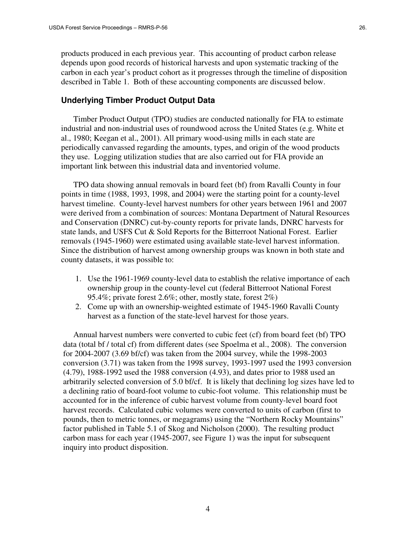products produced in each previous year. This accounting of product carbon release depends upon good records of historical harvests and upon systematic tracking of the carbon in each year's product cohort as it progresses through the timeline of disposition described in Table 1. Both of these accounting components are discussed below.

#### **Underlying Timber Product Output Data**

Timber Product Output (TPO) studies are conducted nationally for FIA to estimate industrial and non-industrial uses of roundwood across the United States (e.g. White et al., 1980; Keegan et al., 2001). All primary wood-using mills in each state are periodically canvassed regarding the amounts, types, and origin of the wood products they use. Logging utilization studies that are also carried out for FIA provide an important link between this industrial data and inventoried volume.

TPO data showing annual removals in board feet (bf) from Ravalli County in four points in time (1988, 1993, 1998, and 2004) were the starting point for a county-level harvest timeline. County-level harvest numbers for other years between 1961 and 2007 were derived from a combination of sources: Montana Department of Natural Resources and Conservation (DNRC) cut-by-county reports for private lands, DNRC harvests for state lands, and USFS Cut & Sold Reports for the Bitterroot National Forest. Earlier removals (1945-1960) were estimated using available state-level harvest information. Since the distribution of harvest among ownership groups was known in both state and county datasets, it was possible to:

- 1. Use the 1961-1969 county-level data to establish the relative importance of each ownership group in the county-level cut (federal Bitterroot National Forest 95.4%; private forest 2.6%; other, mostly state, forest 2%)
- 2. Come up with an ownership-weighted estimate of 1945-1960 Ravalli County harvest as a function of the state-level harvest for those years.

Annual harvest numbers were converted to cubic feet (cf) from board feet (bf) TPO data (total bf / total cf) from different dates (see Spoelma et al., 2008). The conversion for 2004-2007 (3.69 bf/cf) was taken from the 2004 survey, while the 1998-2003 conversion (3.71) was taken from the 1998 survey, 1993-1997 used the 1993 conversion (4.79), 1988-1992 used the 1988 conversion (4.93), and dates prior to 1988 used an arbitrarily selected conversion of 5.0 bf/cf. It is likely that declining log sizes have led to a declining ratio of board-foot volume to cubic-foot volume. This relationship must be accounted for in the inference of cubic harvest volume from county-level board foot harvest records. Calculated cubic volumes were converted to units of carbon (first to pounds, then to metric tonnes, or megagrams) using the "Northern Rocky Mountains" factor published in Table 5.1 of Skog and Nicholson (2000). The resulting product carbon mass for each year (1945-2007, see Figure 1) was the input for subsequent inquiry into product disposition.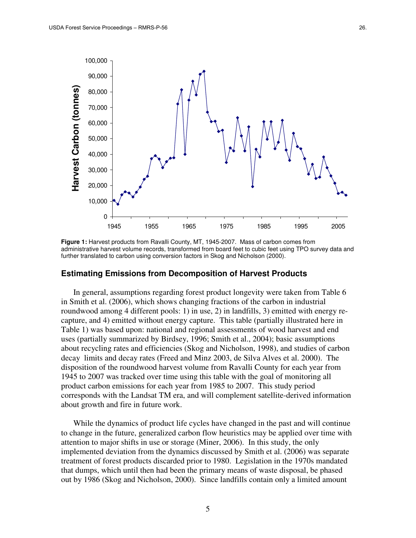

**Figure 1:** Harvest products from Ravalli County, MT, 1945-2007. Mass of carbon comes from administrative harvest volume records, transformed from board feet to cubic feet using TPO survey data and further translated to carbon using conversion factors in Skog and Nicholson (2000).

#### **Estimating Emissions from Decomposition of Harvest Products**

In general, assumptions regarding forest product longevity were taken from Table 6 in Smith et al. (2006), which shows changing fractions of the carbon in industrial roundwood among 4 different pools: 1) in use, 2) in landfills, 3) emitted with energy recapture, and 4) emitted without energy capture. This table (partially illustrated here in Table 1) was based upon: national and regional assessments of wood harvest and end uses (partially summarized by Birdsey, 1996; Smith et al., 2004); basic assumptions about recycling rates and efficiencies (Skog and Nicholson, 1998), and studies of carbon decay limits and decay rates (Freed and Minz 2003, de Silva Alves et al. 2000). The disposition of the roundwood harvest volume from Ravalli County for each year from 1945 to 2007 was tracked over time using this table with the goal of monitoring all product carbon emissions for each year from 1985 to 2007. This study period corresponds with the Landsat TM era, and will complement satellite-derived information about growth and fire in future work.

While the dynamics of product life cycles have changed in the past and will continue to change in the future, generalized carbon flow heuristics may be applied over time with attention to major shifts in use or storage (Miner, 2006). In this study, the only implemented deviation from the dynamics discussed by Smith et al. (2006) was separate treatment of forest products discarded prior to 1980. Legislation in the 1970s mandated that dumps, which until then had been the primary means of waste disposal, be phased out by 1986 (Skog and Nicholson, 2000). Since landfills contain only a limited amount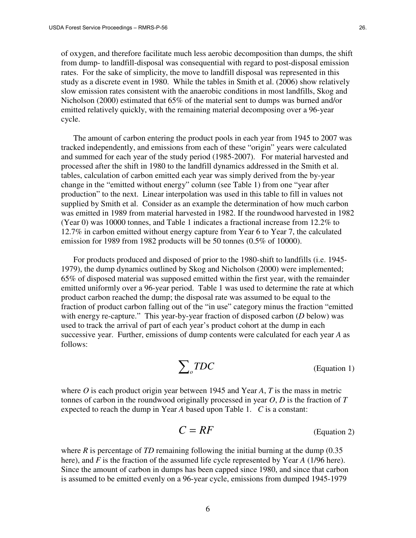of oxygen, and therefore facilitate much less aerobic decomposition than dumps, the shift from dump- to landfill-disposal was consequential with regard to post-disposal emission rates. For the sake of simplicity, the move to landfill disposal was represented in this study as a discrete event in 1980. While the tables in Smith et al. (2006) show relatively slow emission rates consistent with the anaerobic conditions in most landfills, Skog and Nicholson (2000) estimated that 65% of the material sent to dumps was burned and/or emitted relatively quickly, with the remaining material decomposing over a 96-year cycle.

The amount of carbon entering the product pools in each year from 1945 to 2007 was tracked independently, and emissions from each of these "origin" years were calculated and summed for each year of the study period (1985-2007). For material harvested and processed after the shift in 1980 to the landfill dynamics addressed in the Smith et al. tables, calculation of carbon emitted each year was simply derived from the by-year change in the "emitted without energy" column (see Table 1) from one "year after production" to the next. Linear interpolation was used in this table to fill in values not supplied by Smith et al. Consider as an example the determination of how much carbon was emitted in 1989 from material harvested in 1982. If the roundwood harvested in 1982 (Year 0) was 10000 tonnes, and Table 1 indicates a fractional increase from 12.2% to 12.7% in carbon emitted without energy capture from Year 6 to Year 7, the calculated emission for 1989 from 1982 products will be 50 tonnes (0.5% of 10000).

For products produced and disposed of prior to the 1980-shift to landfills (i.e. 1945- 1979), the dump dynamics outlined by Skog and Nicholson (2000) were implemented; 65% of disposed material was supposed emitted within the first year, with the remainder emitted uniformly over a 96-year period. Table 1 was used to determine the rate at which product carbon reached the dump; the disposal rate was assumed to be equal to the fraction of product carbon falling out of the "in use" category minus the fraction "emitted with energy re-capture." This year-by-year fraction of disposed carbon (*D* below) was used to track the arrival of part of each year's product cohort at the dump in each successive year. Further, emissions of dump contents were calculated for each year *A* as follows:

$$
\sum_{o} TDC
$$
 (Equation 1)

where *O* is each product origin year between 1945 and Year *A*, *T* is the mass in metric tonnes of carbon in the roundwood originally processed in year *O*, *D* is the fraction of *T* expected to reach the dump in Year *A* based upon Table 1. *C* is a constant:

$$
C = RF
$$
 (Equation 2)

where *R* is percentage of *TD* remaining following the initial burning at the dump (0.35) here), and *F* is the fraction of the assumed life cycle represented by Year *A* (1/96 here). Since the amount of carbon in dumps has been capped since 1980, and since that carbon is assumed to be emitted evenly on a 96-year cycle, emissions from dumped 1945-1979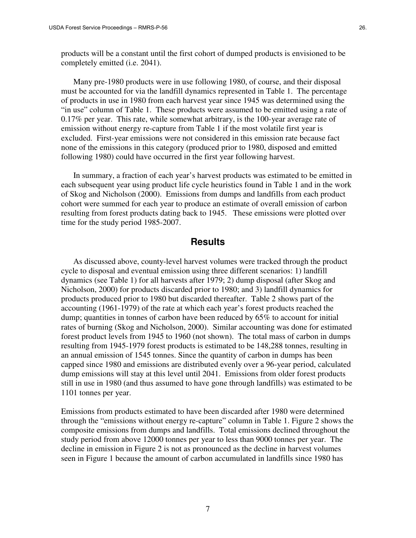products will be a constant until the first cohort of dumped products is envisioned to be completely emitted (i.e. 2041).

Many pre-1980 products were in use following 1980, of course, and their disposal must be accounted for via the landfill dynamics represented in Table 1. The percentage of products in use in 1980 from each harvest year since 1945 was determined using the "in use" column of Table 1. These products were assumed to be emitted using a rate of 0.17% per year. This rate, while somewhat arbitrary, is the 100-year average rate of emission without energy re-capture from Table 1 if the most volatile first year is excluded. First-year emissions were not considered in this emission rate because fact none of the emissions in this category (produced prior to 1980, disposed and emitted following 1980) could have occurred in the first year following harvest.

In summary, a fraction of each year's harvest products was estimated to be emitted in each subsequent year using product life cycle heuristics found in Table 1 and in the work of Skog and Nicholson (2000). Emissions from dumps and landfills from each product cohort were summed for each year to produce an estimate of overall emission of carbon resulting from forest products dating back to 1945. These emissions were plotted over time for the study period 1985-2007.

### **Results**

As discussed above, county-level harvest volumes were tracked through the product cycle to disposal and eventual emission using three different scenarios: 1) landfill dynamics (see Table 1) for all harvests after 1979; 2) dump disposal (after Skog and Nicholson, 2000) for products discarded prior to 1980; and 3) landfill dynamics for products produced prior to 1980 but discarded thereafter. Table 2 shows part of the accounting (1961-1979) of the rate at which each year's forest products reached the dump; quantities in tonnes of carbon have been reduced by 65% to account for initial rates of burning (Skog and Nicholson, 2000). Similar accounting was done for estimated forest product levels from 1945 to 1960 (not shown). The total mass of carbon in dumps resulting from 1945-1979 forest products is estimated to be 148,288 tonnes, resulting in an annual emission of 1545 tonnes. Since the quantity of carbon in dumps has been capped since 1980 and emissions are distributed evenly over a 96-year period, calculated dump emissions will stay at this level until 2041. Emissions from older forest products still in use in 1980 (and thus assumed to have gone through landfills) was estimated to be 1101 tonnes per year.

Emissions from products estimated to have been discarded after 1980 were determined through the "emissions without energy re-capture" column in Table 1. Figure 2 shows the composite emissions from dumps and landfills. Total emissions declined throughout the study period from above 12000 tonnes per year to less than 9000 tonnes per year. The decline in emission in Figure 2 is not as pronounced as the decline in harvest volumes seen in Figure 1 because the amount of carbon accumulated in landfills since 1980 has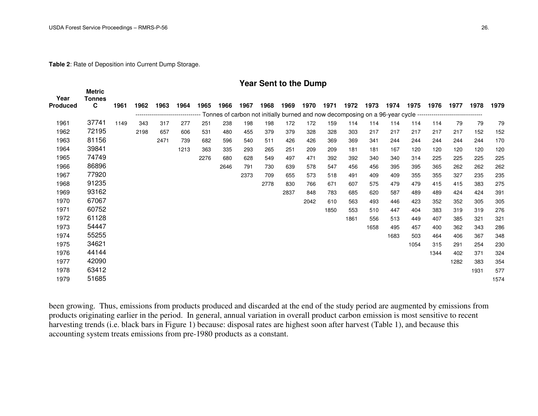**Table 2**: Rate of Deposition into Current Dump Storage.

#### **Year Sent to the Dump**

| Year<br><b>Produced</b> | <b>Metric</b><br><b>Tonnes</b><br>C | 1961 | 1962 | 1963 | 1964 | 1965 | 1966 | 1967 | 1968                                                                                                          | 1969 | 1970 | 1971 | 1972 | 1973 | 1974 | 1975 | 1976 | 1977 | 1978 | 1979 |
|-------------------------|-------------------------------------|------|------|------|------|------|------|------|---------------------------------------------------------------------------------------------------------------|------|------|------|------|------|------|------|------|------|------|------|
|                         |                                     |      |      |      |      |      |      |      | Tonnes of carbon not initially burned and now decomposing on a 96-year cycle -------------------------------- |      |      |      |      |      |      |      |      |      |      |      |
| 1961                    | 37741                               | 1149 | 343  | 317  | 277  | 251  | 238  | 198  | 198                                                                                                           | 172  | 172  | 159  | 114  | 114  | 114  | 114  | 114  | 79   | 79   | 79   |
| 1962                    | 72195                               |      | 2198 | 657  | 606  | 531  | 480  | 455  | 379                                                                                                           | 379  | 328  | 328  | 303  | 217  | 217  | 217  | 217  | 217  | 152  | 152  |
| 1963                    | 81156                               |      |      | 2471 | 739  | 682  | 596  | 540  | 511                                                                                                           | 426  | 426  | 369  | 369  | 341  | 244  | 244  | 244  | 244  | 244  | 170  |
| 1964                    | 39841                               |      |      |      | 1213 | 363  | 335  | 293  | 265                                                                                                           | 251  | 209  | 209  | 181  | 181  | 167  | 120  | 120  | 120  | 120  | 120  |
| 1965                    | 74749                               |      |      |      |      | 2276 | 680  | 628  | 549                                                                                                           | 497  | 471  | 392  | 392  | 340  | 340  | 314  | 225  | 225  | 225  | 225  |
| 1966                    | 86896                               |      |      |      |      |      | 2646 | 791  | 730                                                                                                           | 639  | 578  | 547  | 456  | 456  | 395  | 395  | 365  | 262  | 262  | 262  |
| 1967                    | 77920                               |      |      |      |      |      |      | 2373 | 709                                                                                                           | 655  | 573  | 518  | 491  | 409  | 409  | 355  | 355  | 327  | 235  | 235  |
| 1968                    | 91235                               |      |      |      |      |      |      |      | 2778                                                                                                          | 830  | 766  | 671  | 607  | 575  | 479  | 479  | 415  | 415  | 383  | 275  |
| 1969                    | 93162                               |      |      |      |      |      |      |      |                                                                                                               | 2837 | 848  | 783  | 685  | 620  | 587  | 489  | 489  | 424  | 424  | 391  |
| 1970                    | 67067                               |      |      |      |      |      |      |      |                                                                                                               |      | 2042 | 610  | 563  | 493  | 446  | 423  | 352  | 352  | 305  | 305  |
| 1971                    | 60752                               |      |      |      |      |      |      |      |                                                                                                               |      |      | 1850 | 553  | 510  | 447  | 404  | 383  | 319  | 319  | 276  |
| 1972                    | 61128                               |      |      |      |      |      |      |      |                                                                                                               |      |      |      | 1861 | 556  | 513  | 449  | 407  | 385  | 321  | 321  |
| 1973                    | 54447                               |      |      |      |      |      |      |      |                                                                                                               |      |      |      |      | 1658 | 495  | 457  | 400  | 362  | 343  | 286  |
| 1974                    | 55255                               |      |      |      |      |      |      |      |                                                                                                               |      |      |      |      |      | 1683 | 503  | 464  | 406  | 367  | 348  |
| 1975                    | 34621                               |      |      |      |      |      |      |      |                                                                                                               |      |      |      |      |      |      | 1054 | 315  | 291  | 254  | 230  |
| 1976                    | 44144                               |      |      |      |      |      |      |      |                                                                                                               |      |      |      |      |      |      |      | 1344 | 402  | 371  | 324  |
| 1977                    | 42090                               |      |      |      |      |      |      |      |                                                                                                               |      |      |      |      |      |      |      |      | 1282 | 383  | 354  |
| 1978                    | 63412                               |      |      |      |      |      |      |      |                                                                                                               |      |      |      |      |      |      |      |      |      | 1931 | 577  |
| 1979                    | 51685                               |      |      |      |      |      |      |      |                                                                                                               |      |      |      |      |      |      |      |      |      |      | 1574 |
|                         |                                     |      |      |      |      |      |      |      |                                                                                                               |      |      |      |      |      |      |      |      |      |      |      |

been growing. Thus, emissions from products produced and discarded at the end of the study period are augmented by emissions from products originating earlier in the period. In general, annual variation in overall product carbon emission is most sensitive to recent harvesting trends (i.e. black bars in Figure 1) because: disposal rates are highest soon after harvest (Table 1), and because this accounting system treats emissions from pre-1980 products as a constant.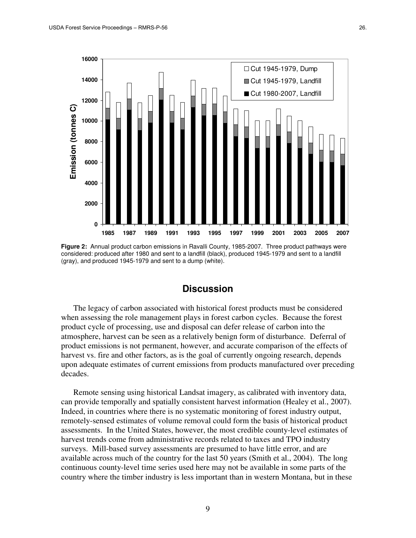

**Figure 2:** Annual product carbon emissions in Ravalli County, 1985-2007. Three product pathways were considered: produced after 1980 and sent to a landfill (black), produced 1945-1979 and sent to a landfill (gray), and produced 1945-1979 and sent to a dump (white).

# **Discussion**

The legacy of carbon associated with historical forest products must be considered when assessing the role management plays in forest carbon cycles. Because the forest product cycle of processing, use and disposal can defer release of carbon into the atmosphere, harvest can be seen as a relatively benign form of disturbance. Deferral of product emissions is not permanent, however, and accurate comparison of the effects of harvest vs. fire and other factors, as is the goal of currently ongoing research, depends upon adequate estimates of current emissions from products manufactured over preceding decades.

Remote sensing using historical Landsat imagery, as calibrated with inventory data, can provide temporally and spatially consistent harvest information (Healey et al., 2007). Indeed, in countries where there is no systematic monitoring of forest industry output, remotely-sensed estimates of volume removal could form the basis of historical product assessments. In the United States, however, the most credible county-level estimates of harvest trends come from administrative records related to taxes and TPO industry surveys. Mill-based survey assessments are presumed to have little error, and are available across much of the country for the last 50 years (Smith et al., 2004). The long continuous county-level time series used here may not be available in some parts of the country where the timber industry is less important than in western Montana, but in these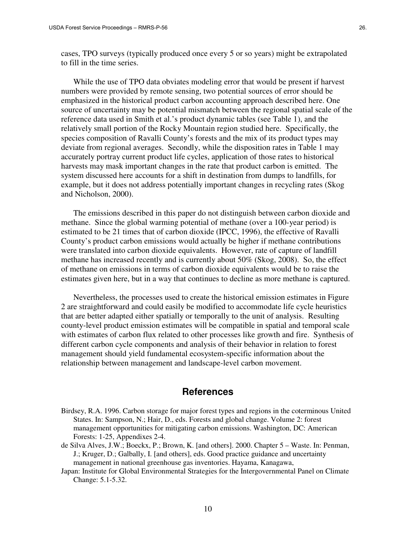cases, TPO surveys (typically produced once every 5 or so years) might be extrapolated to fill in the time series.

While the use of TPO data obviates modeling error that would be present if harvest numbers were provided by remote sensing, two potential sources of error should be emphasized in the historical product carbon accounting approach described here. One source of uncertainty may be potential mismatch between the regional spatial scale of the reference data used in Smith et al.'s product dynamic tables (see Table 1), and the relatively small portion of the Rocky Mountain region studied here. Specifically, the species composition of Ravalli County's forests and the mix of its product types may deviate from regional averages. Secondly, while the disposition rates in Table 1 may accurately portray current product life cycles, application of those rates to historical harvests may mask important changes in the rate that product carbon is emitted. The system discussed here accounts for a shift in destination from dumps to landfills, for example, but it does not address potentially important changes in recycling rates (Skog and Nicholson, 2000).

The emissions described in this paper do not distinguish between carbon dioxide and methane. Since the global warming potential of methane (over a 100-year period) is estimated to be 21 times that of carbon dioxide (IPCC, 1996), the effective of Ravalli County's product carbon emissions would actually be higher if methane contributions were translated into carbon dioxide equivalents. However, rate of capture of landfill methane has increased recently and is currently about 50% (Skog, 2008). So, the effect of methane on emissions in terms of carbon dioxide equivalents would be to raise the estimates given here, but in a way that continues to decline as more methane is captured.

Nevertheless, the processes used to create the historical emission estimates in Figure 2 are straightforward and could easily be modified to accommodate life cycle heuristics that are better adapted either spatially or temporally to the unit of analysis. Resulting county-level product emission estimates will be compatible in spatial and temporal scale with estimates of carbon flux related to other processes like growth and fire. Synthesis of different carbon cycle components and analysis of their behavior in relation to forest management should yield fundamental ecosystem-specific information about the relationship between management and landscape-level carbon movement.

### **References**

- Birdsey, R.A. 1996. Carbon storage for major forest types and regions in the coterminous United States. In: Sampson, N.; Hair, D., eds. Forests and global change. Volume 2: forest management opportunities for mitigating carbon emissions. Washington, DC: American Forests: 1-25, Appendixes 2-4.
- de Silva Alves, J.W.; Boeckx, P.; Brown, K. [and others]. 2000. Chapter 5 Waste. In: Penman, J.; Kruger, D.; Galbally, I. [and others], eds. Good practice guidance and uncertainty management in national greenhouse gas inventories. Hayama, Kanagawa,
- Japan: Institute for Global Environmental Strategies for the Intergovernmental Panel on Climate Change: 5.1-5.32.